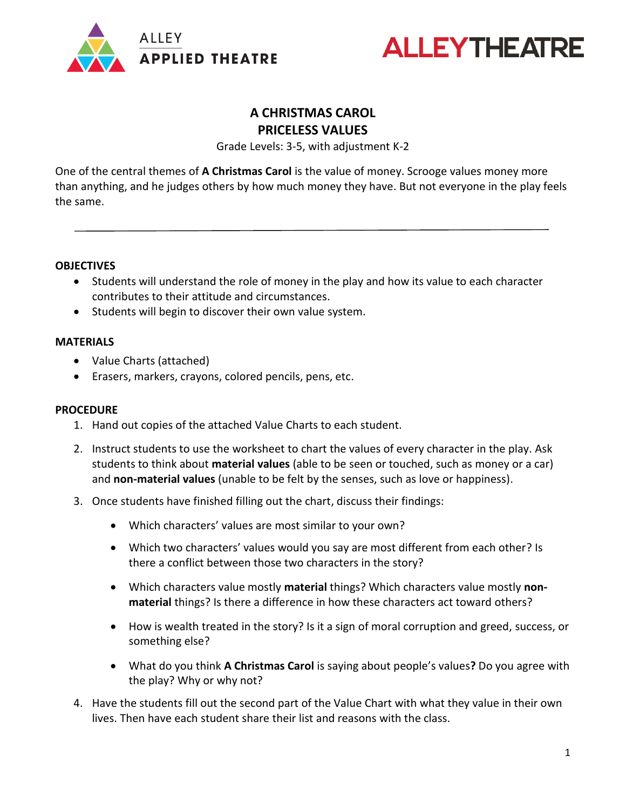



## **A CHRISTMAS CAROL PRICELESS VALUES**

Grade Levels: 3-5, with adjustment K-2

One of the central themes of **A Christmas Carol** is the value of money. Scrooge values money more than anything, and he judges others by how much money they have. But not everyone in the play feels the same.

### **OBJECTIVES**

- Students will understand the role of money in the play and how its value to each character contributes to their attitude and circumstances.
- Students will begin to discover their own value system.

#### **MATERIALS**

- Value Charts (attached)
- Erasers, markers, crayons, colored pencils, pens, etc.

#### **PROCEDURE**

- 1. Hand out copies of the attached Value Charts to each student.
- 2. Instruct students to use the worksheet to chart the values of every character in the play. Ask students to think about **material values** (able to be seen or touched, such as money or a car) and **non-material values** (unable to be felt by the senses, such as love or happiness).
- 3. Once students have finished filling out the chart, discuss their findings:
	- Which characters' values are most similar to your own?
	- Which two characters' values would you say are most different from each other? Is there a conflict between those two characters in the story?
	- Which characters value mostly **material** things? Which characters value mostly **nonmaterial** things? Is there a difference in how these characters act toward others?
	- How is wealth treated in the story? Is it a sign of moral corruption and greed, success, or something else?
	- What do you think **A Christmas Carol** is saying about people's values**?** Do you agree with the play? Why or why not?
- 4. Have the students fill out the second part of the Value Chart with what they value in their own lives. Then have each student share their list and reasons with the class.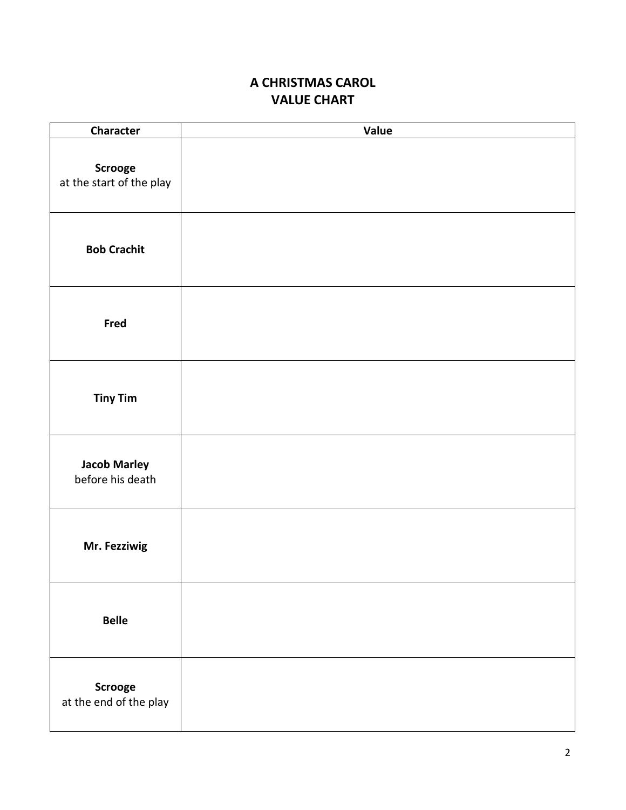# **A CHRISTMAS CAROL VALUE CHART**

| <b>Character</b>                        | Value |
|-----------------------------------------|-------|
| Scrooge<br>at the start of the play     |       |
| <b>Bob Crachit</b>                      |       |
| Fred                                    |       |
| <b>Tiny Tim</b>                         |       |
| <b>Jacob Marley</b><br>before his death |       |
| Mr. Fezziwig                            |       |
| <b>Belle</b>                            |       |
| Scrooge<br>at the end of the play       |       |